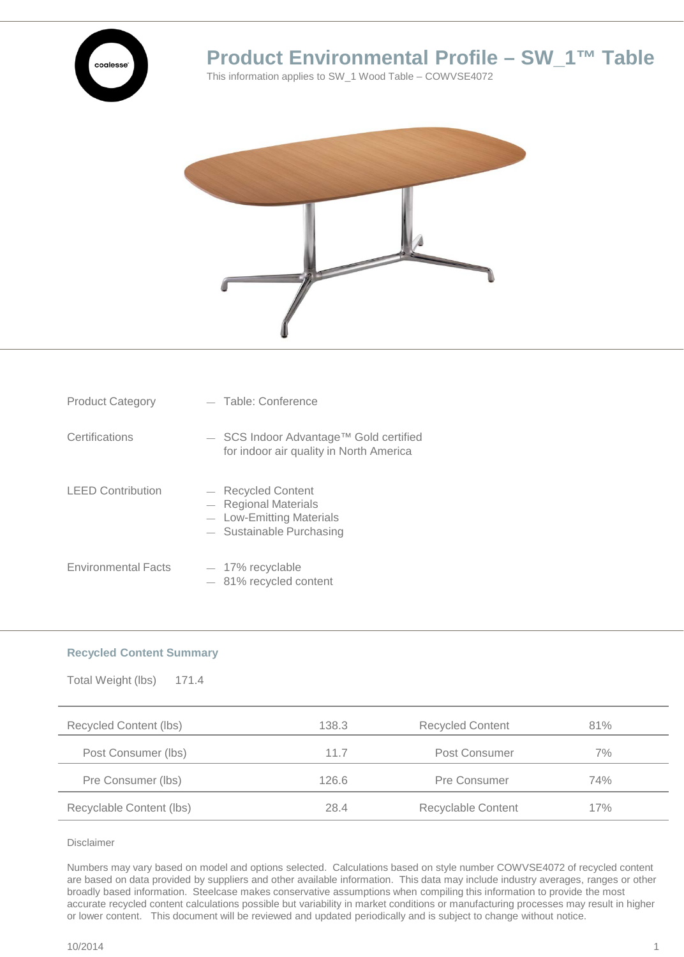

## **Product Environmental Profile – SW\_1™ Table**

This information applies to SW\_1 Wood Table – COWVSE4072



| <b>Product Category</b>    | - Table: Conference                                                                                |
|----------------------------|----------------------------------------------------------------------------------------------------|
| Certifications             | $-$ SCS Indoor Advantage <sup>TM</sup> Gold certified<br>for indoor air quality in North America   |
| <b>LEED Contribution</b>   | - Recycled Content<br>- Regional Materials<br>- Low-Emitting Materials<br>- Sustainable Purchasing |
| <b>Environmental Facts</b> | $-$ 17% recyclable<br>$-81\%$ recycled content                                                     |

## **Recycled Content Summary**

| Total Weight (lbs)<br>171.4 |       |                         |     |
|-----------------------------|-------|-------------------------|-----|
| Recycled Content (lbs)      | 138.3 | <b>Recycled Content</b> | 81% |
| Post Consumer (lbs)         | 11.7  | Post Consumer           | 7%  |
| Pre Consumer (lbs)          | 126.6 | Pre Consumer            | 74% |
| Recyclable Content (lbs)    | 28.4  | Recyclable Content      | 17% |

Disclaimer

Numbers may vary based on model and options selected. Calculations based on style number COWVSE4072 of recycled content are based on data provided by suppliers and other available information. This data may include industry averages, ranges or other broadly based information. Steelcase makes conservative assumptions when compiling this information to provide the most accurate recycled content calculations possible but variability in market conditions or manufacturing processes may result in higher or lower content. This document will be reviewed and updated periodically and is subject to change without notice.